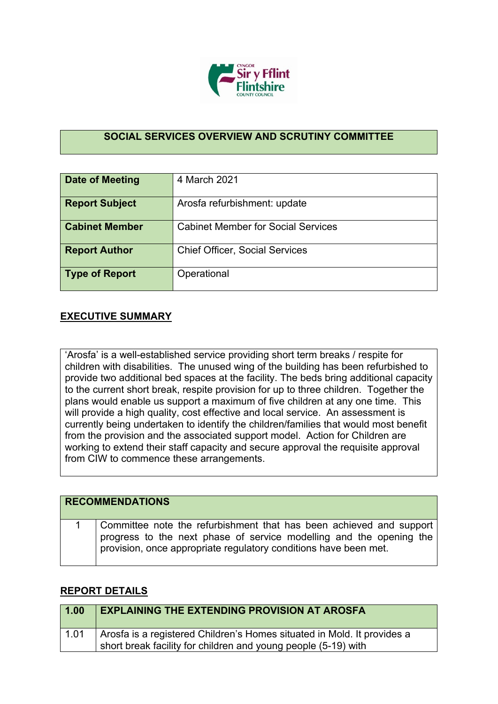

## **SOCIAL SERVICES OVERVIEW AND SCRUTINY COMMITTEE**

| <b>Date of Meeting</b> | 4 March 2021                              |
|------------------------|-------------------------------------------|
| <b>Report Subject</b>  | Arosfa refurbishment: update              |
| <b>Cabinet Member</b>  | <b>Cabinet Member for Social Services</b> |
| <b>Report Author</b>   | <b>Chief Officer, Social Services</b>     |
| Type of Report         | Operational                               |

## **EXECUTIVE SUMMARY**

'Arosfa' is a well-established service providing short term breaks / respite for children with disabilities. The unused wing of the building has been refurbished to provide two additional bed spaces at the facility. The beds bring additional capacity to the current short break, respite provision for up to three children. Together the plans would enable us support a maximum of five children at any one time. This will provide a high quality, cost effective and local service. An assessment is currently being undertaken to identify the children/families that would most benefit from the provision and the associated support model. Action for Children are working to extend their staff capacity and secure approval the requisite approval from CIW to commence these arrangements.

| <b>RECOMMENDATIONS</b>                                                                                                                                                                                         |
|----------------------------------------------------------------------------------------------------------------------------------------------------------------------------------------------------------------|
| Committee note the refurbishment that has been achieved and support<br>progress to the next phase of service modelling and the opening the<br>provision, once appropriate regulatory conditions have been met. |

## **REPORT DETAILS**

| 1.00 | <b>EXPLAINING THE EXTENDING PROVISION AT AROSFA</b>                     |
|------|-------------------------------------------------------------------------|
| 1.01 | Arosfa is a registered Children's Homes situated in Mold. It provides a |
|      | short break facility for children and young people (5-19) with          |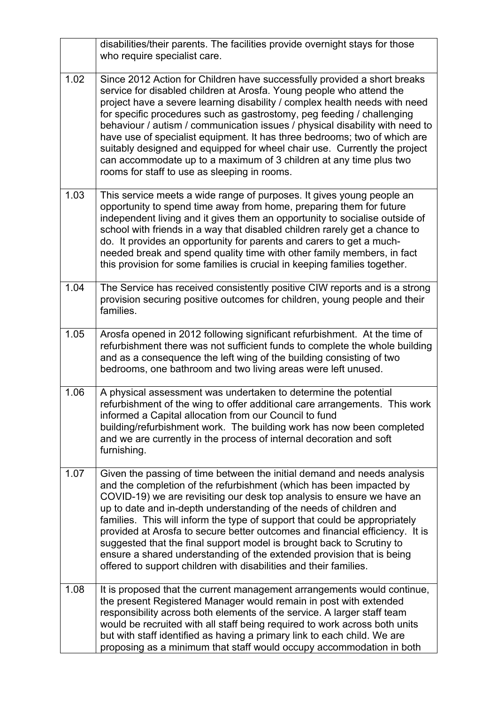|      | disabilities/their parents. The facilities provide overnight stays for those<br>who require specialist care.                                                                                                                                                                                                                                                                                                                                                                                                                                                                                                                                                                        |
|------|-------------------------------------------------------------------------------------------------------------------------------------------------------------------------------------------------------------------------------------------------------------------------------------------------------------------------------------------------------------------------------------------------------------------------------------------------------------------------------------------------------------------------------------------------------------------------------------------------------------------------------------------------------------------------------------|
| 1.02 | Since 2012 Action for Children have successfully provided a short breaks<br>service for disabled children at Arosfa. Young people who attend the<br>project have a severe learning disability / complex health needs with need<br>for specific procedures such as gastrostomy, peg feeding / challenging<br>behaviour / autism / communication issues / physical disability with need to<br>have use of specialist equipment. It has three bedrooms; two of which are<br>suitably designed and equipped for wheel chair use. Currently the project<br>can accommodate up to a maximum of 3 children at any time plus two<br>rooms for staff to use as sleeping in rooms.            |
| 1.03 | This service meets a wide range of purposes. It gives young people an<br>opportunity to spend time away from home, preparing them for future<br>independent living and it gives them an opportunity to socialise outside of<br>school with friends in a way that disabled children rarely get a chance to<br>do. It provides an opportunity for parents and carers to get a much-<br>needed break and spend quality time with other family members, in fact<br>this provision for some families is crucial in keeping families together.                                                                                                                                            |
| 1.04 | The Service has received consistently positive CIW reports and is a strong<br>provision securing positive outcomes for children, young people and their<br>families.                                                                                                                                                                                                                                                                                                                                                                                                                                                                                                                |
| 1.05 | Arosfa opened in 2012 following significant refurbishment. At the time of<br>refurbishment there was not sufficient funds to complete the whole building<br>and as a consequence the left wing of the building consisting of two<br>bedrooms, one bathroom and two living areas were left unused.                                                                                                                                                                                                                                                                                                                                                                                   |
| 1.06 | A physical assessment was undertaken to determine the potential<br>refurbishment of the wing to offer additional care arrangements. This work<br>informed a Capital allocation from our Council to fund<br>building/refurbishment work. The building work has now been completed<br>and we are currently in the process of internal decoration and soft<br>furnishing.                                                                                                                                                                                                                                                                                                              |
| 1.07 | Given the passing of time between the initial demand and needs analysis<br>and the completion of the refurbishment (which has been impacted by<br>COVID-19) we are revisiting our desk top analysis to ensure we have an<br>up to date and in-depth understanding of the needs of children and<br>families. This will inform the type of support that could be appropriately<br>provided at Arosfa to secure better outcomes and financial efficiency. It is<br>suggested that the final support model is brought back to Scrutiny to<br>ensure a shared understanding of the extended provision that is being<br>offered to support children with disabilities and their families. |
| 1.08 | It is proposed that the current management arrangements would continue,<br>the present Registered Manager would remain in post with extended<br>responsibility across both elements of the service. A larger staff team<br>would be recruited with all staff being required to work across both units<br>but with staff identified as having a primary link to each child. We are<br>proposing as a minimum that staff would occupy accommodation in both                                                                                                                                                                                                                           |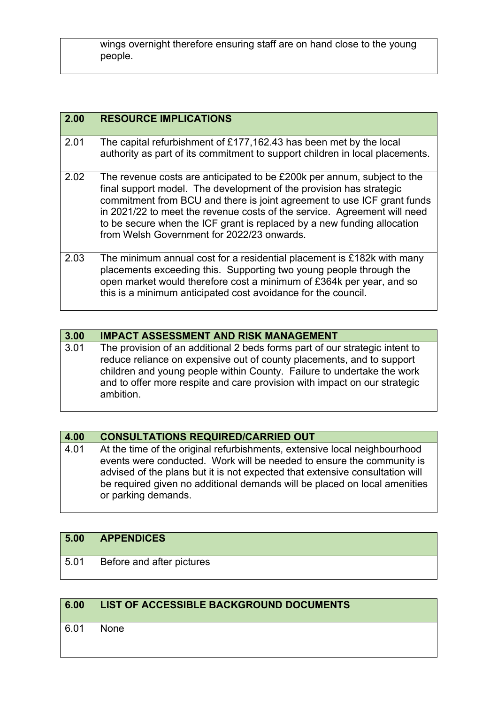| 2.00 | <b>RESOURCE IMPLICATIONS</b>                                                                                                                                                                                                                                                                                                                                                                                                   |
|------|--------------------------------------------------------------------------------------------------------------------------------------------------------------------------------------------------------------------------------------------------------------------------------------------------------------------------------------------------------------------------------------------------------------------------------|
| 2.01 | The capital refurbishment of £177,162.43 has been met by the local<br>authority as part of its commitment to support children in local placements.                                                                                                                                                                                                                                                                             |
| 2.02 | The revenue costs are anticipated to be £200k per annum, subject to the<br>final support model. The development of the provision has strategic<br>commitment from BCU and there is joint agreement to use ICF grant funds<br>in 2021/22 to meet the revenue costs of the service. Agreement will need<br>to be secure when the ICF grant is replaced by a new funding allocation<br>from Welsh Government for 2022/23 onwards. |
| 2.03 | The minimum annual cost for a residential placement is £182k with many<br>placements exceeding this. Supporting two young people through the<br>open market would therefore cost a minimum of £364k per year, and so<br>this is a minimum anticipated cost avoidance for the council.                                                                                                                                          |

| 3.00 | <b>IMPACT ASSESSMENT AND RISK MANAGEMENT</b>                                                                                                                                                                                                                                                                             |
|------|--------------------------------------------------------------------------------------------------------------------------------------------------------------------------------------------------------------------------------------------------------------------------------------------------------------------------|
| 3.01 | The provision of an additional 2 beds forms part of our strategic intent to<br>reduce reliance on expensive out of county placements, and to support<br>children and young people within County. Failure to undertake the work<br>and to offer more respite and care provision with impact on our strategic<br>ambition. |

| 4.00 | <b>CONSULTATIONS REQUIRED/CARRIED OUT</b>                                                                                                                                                                                                                                                                                              |
|------|----------------------------------------------------------------------------------------------------------------------------------------------------------------------------------------------------------------------------------------------------------------------------------------------------------------------------------------|
| 4.01 | At the time of the original refurbishments, extensive local neighbourhood<br>events were conducted. Work will be needed to ensure the community is<br>advised of the plans but it is not expected that extensive consultation will<br>be required given no additional demands will be placed on local amenities<br>or parking demands. |

| 5.00 | <b>APPENDICES</b>         |
|------|---------------------------|
| 5.01 | Before and after pictures |

| 6.00 | <b>LIST OF ACCESSIBLE BACKGROUND DOCUMENTS</b> |
|------|------------------------------------------------|
| 6.01 | None                                           |